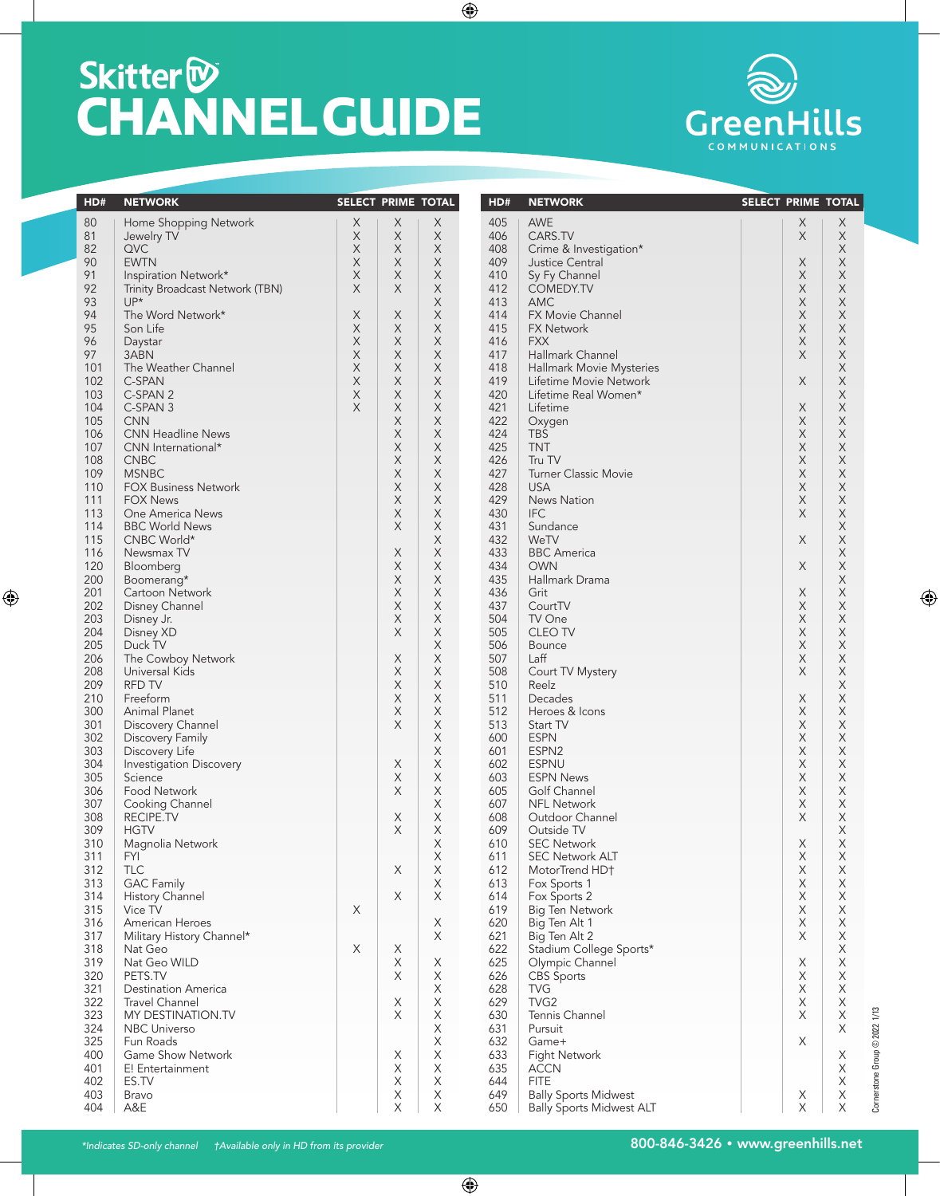## **Skitter<sup>®</sup><br>CHANNEL GUIDE**



| HD# | <b>NETWORK</b>                  | SELECT PRIME TOTAL |                           |             | HD# | <b>NETWORK</b>                  | SELECT PRIME TOTAL |                               |
|-----|---------------------------------|--------------------|---------------------------|-------------|-----|---------------------------------|--------------------|-------------------------------|
| 80  | Home Shopping Network           | X                  | X                         | X           | 405 | <b>AWE</b>                      | X<br>X             |                               |
| 81  | Jewelry TV                      | X                  | X                         | X           | 406 | CARS.TV                         | X<br>X             |                               |
| 82  | <b>QVC</b>                      | X                  | X                         | X           | 408 | Crime & Investigation*          | X                  |                               |
| 90  | <b>EWTN</b>                     | X                  | X                         | X           | 409 | Justice Central                 | X<br>X             |                               |
| 91  | Inspiration Network*            | X                  | $\mathsf X$               | X           | 410 | Sy Fy Channel                   | X<br>X             |                               |
| 92  | Trinity Broadcast Network (TBN) | X                  | X                         | X           | 412 | <b>COMEDY.TV</b>                | X<br>X             |                               |
| 93  | $UP^*$                          |                    |                           | X           | 413 | <b>AMC</b>                      | X<br>X             |                               |
| 94  | The Word Network*               | Χ                  | $\times$                  | X           | 414 | <b>FX Movie Channel</b>         | $\mathsf X$<br>X   |                               |
| 95  | Son Life                        | X                  | $\boldsymbol{\mathsf{X}}$ | X           | 415 | <b>FX Network</b>               | X<br>X             |                               |
| 96  | Daystar                         | X                  | $\times$                  | X           | 416 | <b>FXX</b>                      | X<br>X             |                               |
| 97  | 3ABN                            | X                  | $\boldsymbol{\mathsf{X}}$ | X           | 417 | Hallmark Channel                | X<br>X             |                               |
| 101 | The Weather Channel             | X                  | X                         | X           | 418 | Hallmark Movie Mysteries        | X                  |                               |
| 102 | C-SPAN                          | X                  | X                         | X           | 419 | Lifetime Movie Network          | $\mathsf X$<br>X   |                               |
| 103 | C-SPAN 2                        | X                  | $\times$                  | X           | 420 | Lifetime Real Women*            | X                  |                               |
| 104 | C-SPAN 3                        | X                  | X                         | X           | 421 | Lifetime                        | X<br>X             |                               |
| 105 | <b>CNN</b>                      |                    | $\boldsymbol{\mathsf{X}}$ | X           | 422 | Oxygen                          | X<br>X             |                               |
| 106 | <b>CNN Headline News</b>        |                    | X                         | X           | 424 | <b>TBS</b>                      | X<br>Χ             |                               |
| 107 | CNN International*              |                    | X                         | X           | 425 | <b>TNT</b>                      | X<br>X             |                               |
| 108 | <b>CNBC</b>                     |                    | X                         | X           | 426 | Tru TV                          | X<br>Χ             |                               |
| 109 | <b>MSNBC</b>                    |                    | $\boldsymbol{\mathsf{X}}$ | X           | 427 | <b>Turner Classic Movie</b>     | X<br>X             |                               |
| 110 | <b>FOX Business Network</b>     |                    | X                         | X           | 428 | <b>USA</b>                      | X<br>X             |                               |
| 111 | <b>FOX News</b>                 |                    | X                         | X           | 429 | News Nation                     | X<br>X             |                               |
| 113 | One America News                |                    | X                         | X           | 430 | <b>IFC</b>                      | X<br>Χ             |                               |
| 114 | <b>BBC World News</b>           |                    | X                         | $\mathsf X$ | 431 | Sundance                        | X                  |                               |
| 115 | CNBC World*                     |                    |                           | X           | 432 | WeTV                            | X<br>X             |                               |
| 116 | Newsmax TV                      |                    | X                         | X           | 433 | <b>BBC</b> America              | Χ                  |                               |
| 120 | Bloomberg                       |                    | $\boldsymbol{\mathsf{X}}$ | X           | 434 | <b>OWN</b>                      | X<br>X             |                               |
| 200 | Boomerang*                      |                    | X                         | X           | 435 | Hallmark Drama                  | X                  |                               |
| 201 | Cartoon Network                 |                    | $\boldsymbol{\mathsf{X}}$ | X           | 436 | Grit                            | X<br>X             |                               |
| 202 | Disney Channel                  |                    | X                         | X           | 437 | CourtTV                         | X<br>Χ             |                               |
| 203 | Disney Jr.                      |                    | $\boldsymbol{\mathsf{X}}$ | X           | 504 | TV One                          | X<br>X             |                               |
| 204 | Disney XD                       |                    | X                         | X           | 505 | <b>CLEO TV</b>                  | X<br>X             |                               |
| 205 | Duck TV                         |                    |                           | X           | 506 | <b>Bounce</b>                   | X<br>X             |                               |
| 206 | The Cowboy Network              |                    | X                         | X           | 507 | Laff                            | X<br>X             |                               |
| 208 | Universal Kids                  |                    | X                         | X           | 508 | Court TV Mystery                | X<br>X             |                               |
| 209 | <b>RFD TV</b>                   |                    | X                         | $\mathsf X$ | 510 | Reelz                           | X                  |                               |
| 210 | Freeform                        |                    | X                         | X           | 511 | Decades                         | X<br>X             |                               |
| 300 | Animal Planet                   |                    | X                         | X           | 512 | Heroes & Icons                  | X<br>X             |                               |
| 301 | Discovery Channel               |                    | X                         | X           | 513 | Start TV                        | X<br>X             |                               |
| 302 | Discovery Family                |                    |                           | X           | 600 | <b>ESPN</b>                     | X<br>X             |                               |
| 303 | Discovery Life                  |                    |                           | X           | 601 | ESPN <sub>2</sub>               | X<br>X             |                               |
| 304 | Investigation Discovery         |                    | X                         | X           | 602 | <b>ESPNU</b>                    | X<br>X             |                               |
| 305 | Science                         |                    | X                         | X           | 603 | <b>ESPN News</b>                | X<br>X             |                               |
| 306 | Food Network                    |                    | X                         | X           | 605 | Golf Channel                    | X<br>X             |                               |
| 307 | Cooking Channel                 |                    |                           | X           | 607 | <b>NFL Network</b>              | X<br>X             |                               |
| 308 | RECIPE.TV                       |                    | X                         | X           | 608 | Outdoor Channel                 | X<br>X             |                               |
| 309 | <b>HGTV</b>                     |                    | X                         | $\mathsf X$ | 609 | Outside TV                      | X                  |                               |
| 310 | Magnolia Network                |                    |                           | $\mathsf X$ | 610 | <b>SEC Network</b>              | X<br>X             |                               |
| 311 | <b>FYI</b>                      |                    |                           | $\mathsf X$ | 611 | <b>SEC Network ALT</b>          | X<br>Χ             |                               |
| 312 | TLC                             |                    | X                         | X           | 612 | MotorTrend HD+                  | X<br>Χ             |                               |
| 313 | <b>GAC Family</b>               |                    |                           | $\mathsf X$ | 613 | Fox Sports 1                    | Χ<br>X             |                               |
| 314 | History Channel                 |                    | X                         | X           | 614 | Fox Sports 2                    | X<br>X             |                               |
| 315 | Vice TV                         | X                  |                           |             | 619 | Big Ten Network                 | X<br>X             |                               |
| 316 | American Heroes                 |                    |                           | X           | 620 | Big Ten Alt 1                   | X<br>X             |                               |
| 317 | Military History Channel*       |                    |                           | $\times$    | 621 | Big Ten Alt 2                   | X<br>X             |                               |
| 318 | Nat Geo                         | Χ                  | X                         |             | 622 | Stadium College Sports*         | X                  |                               |
| 319 | Nat Geo WILD                    |                    | X                         | X           | 625 | Olympic Channel                 | X<br>Χ             |                               |
| 320 | PETS.TV                         |                    | $\boldsymbol{\mathsf{X}}$ | $\mathsf X$ | 626 | <b>CBS</b> Sports               | X<br>X             |                               |
| 321 | <b>Destination America</b>      |                    |                           | $\mathsf X$ | 628 | <b>TVG</b>                      | X<br>X             |                               |
| 322 | <b>Travel Channel</b>           |                    | X                         | $\mathsf X$ | 629 | TVG <sub>2</sub>                | X<br>X             |                               |
| 323 | MY DESTINATION.TV               |                    | $\boldsymbol{\mathsf{X}}$ | $\mathsf X$ | 630 | Tennis Channel                  | $\mathsf X$<br>X   |                               |
| 324 | <b>NBC Universo</b>             |                    |                           | X           | 631 | Pursuit                         | X                  |                               |
| 325 | Fun Roads                       |                    |                           | $\mathsf X$ | 632 | Game+                           | X                  |                               |
| 400 | Game Show Network               |                    | X                         | X           | 633 | <b>Fight Network</b>            | X                  |                               |
| 401 | E! Entertainment                |                    | X                         | X           | 635 | <b>ACCN</b>                     | X                  |                               |
| 402 | ES.TV                           |                    | X                         | $\mathsf X$ | 644 | <b>FITE</b>                     | X                  | Cornerstone Group © 2022 1/13 |
| 403 | Bravo                           |                    | X                         | $\mathsf X$ | 649 | <b>Bally Sports Midwest</b>     | Χ<br>Х             |                               |
| 404 | A&E                             |                    | X                         | X           | 650 | <b>Bally Sports Midwest ALT</b> | Χ<br>X             |                               |